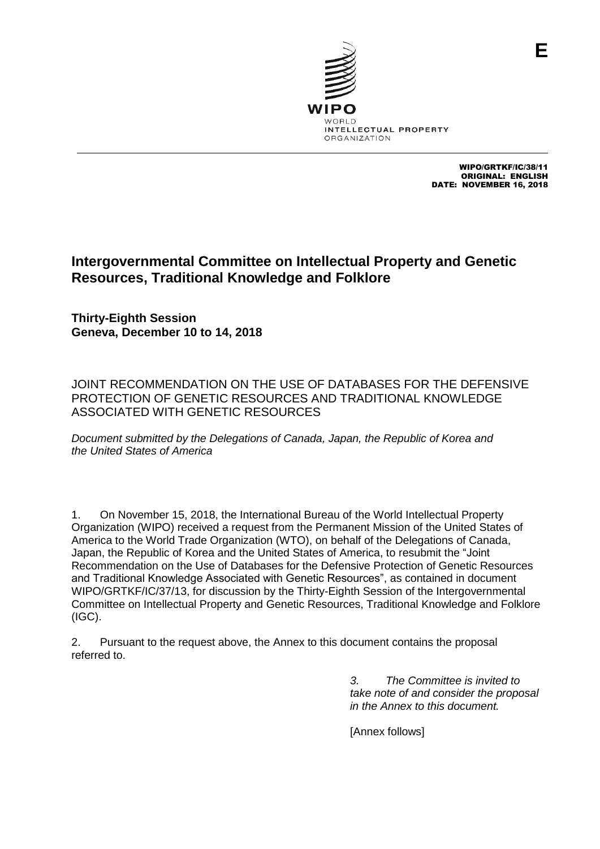

WIPO/GRTKF/IC/38/11 ORIGINAL: ENGLISH DATE: NOVEMBER 16, 2018

# **Intergovernmental Committee on Intellectual Property and Genetic Resources, Traditional Knowledge and Folklore**

**Thirty-Eighth Session Geneva, December 10 to 14, 2018**

JOINT RECOMMENDATION ON THE USE OF DATABASES FOR THE DEFENSIVE PROTECTION OF GENETIC RESOURCES AND TRADITIONAL KNOWLEDGE ASSOCIATED WITH GENETIC RESOURCES

*Document submitted by the Delegations of Canada, Japan, the Republic of Korea and the United States of America*

1. On November 15, 2018, the International Bureau of the World Intellectual Property Organization (WIPO) received a request from the Permanent Mission of the United States of America to the World Trade Organization (WTO), on behalf of the Delegations of Canada, Japan, the Republic of Korea and the United States of America, to resubmit the "Joint Recommendation on the Use of Databases for the Defensive Protection of Genetic Resources and Traditional Knowledge Associated with Genetic Resources", as contained in document WIPO/GRTKF/IC/37/13, for discussion by the Thirty-Eighth Session of the Intergovernmental Committee on Intellectual Property and Genetic Resources, Traditional Knowledge and Folklore (IGC).

2. Pursuant to the request above, the Annex to this document contains the proposal referred to.

> *3. The Committee is invited to take note of and consider the proposal in the Annex to this document.*

[Annex follows]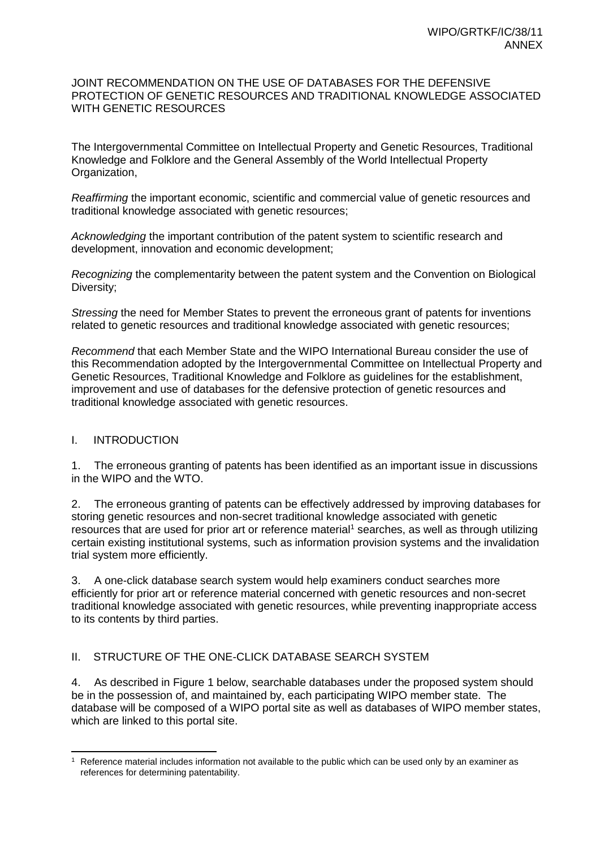#### JOINT RECOMMENDATION ON THE USE OF DATABASES FOR THE DEFENSIVE PROTECTION OF GENETIC RESOURCES AND TRADITIONAL KNOWLEDGE ASSOCIATED WITH GENETIC RESOURCES

The Intergovernmental Committee on Intellectual Property and Genetic Resources, Traditional Knowledge and Folklore and the General Assembly of the World Intellectual Property Organization,

*Reaffirming* the important economic, scientific and commercial value of genetic resources and traditional knowledge associated with genetic resources;

*Acknowledging* the important contribution of the patent system to scientific research and development, innovation and economic development;

*Recognizing* the complementarity between the patent system and the Convention on Biological Diversity;

*Stressing* the need for Member States to prevent the erroneous grant of patents for inventions related to genetic resources and traditional knowledge associated with genetic resources;

*Recommend* that each Member State and the WIPO International Bureau consider the use of this Recommendation adopted by the Intergovernmental Committee on Intellectual Property and Genetic Resources, Traditional Knowledge and Folklore as guidelines for the establishment, improvement and use of databases for the defensive protection of genetic resources and traditional knowledge associated with genetic resources.

### I. INTRODUCTION

1. The erroneous granting of patents has been identified as an important issue in discussions in the WIPO and the WTO.

2. The erroneous granting of patents can be effectively addressed by improving databases for storing genetic resources and non-secret traditional knowledge associated with genetic resources that are used for prior art or reference material<sup>1</sup> searches, as well as through utilizing certain existing institutional systems, such as information provision systems and the invalidation trial system more efficiently.

3. A one-click database search system would help examiners conduct searches more efficiently for prior art or reference material concerned with genetic resources and non-secret traditional knowledge associated with genetic resources, while preventing inappropriate access to its contents by third parties.

## II. STRUCTURE OF THE ONE-CLICK DATABASE SEARCH SYSTEM

4. As described in Figure 1 below, searchable databases under the proposed system should be in the possession of, and maintained by, each participating WIPO member state. The database will be composed of a WIPO portal site as well as databases of WIPO member states, which are linked to this portal site.

 $\overline{a}$  $1$  Reference material includes information not available to the public which can be used only by an examiner as references for determining patentability.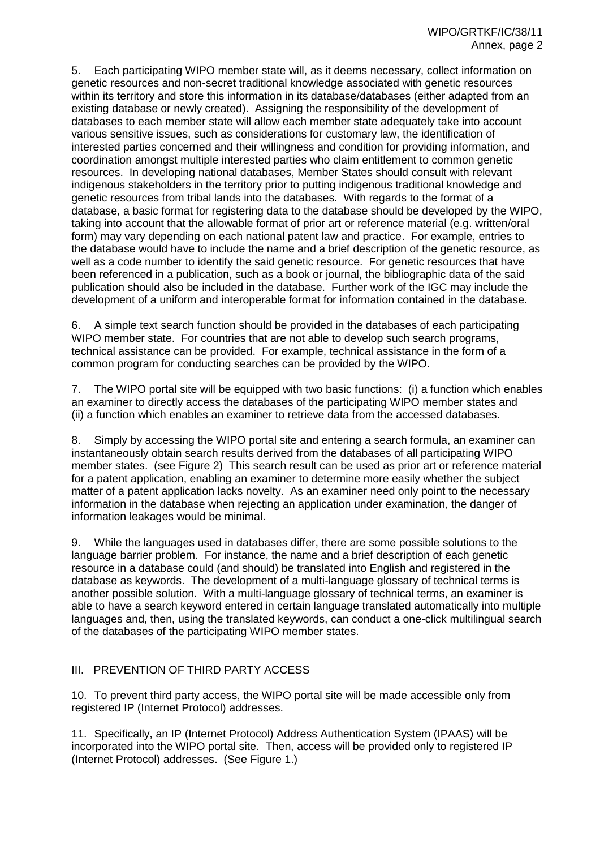5. Each participating WIPO member state will, as it deems necessary, collect information on genetic resources and non-secret traditional knowledge associated with genetic resources within its territory and store this information in its database/databases (either adapted from an existing database or newly created). Assigning the responsibility of the development of databases to each member state will allow each member state adequately take into account various sensitive issues, such as considerations for customary law, the identification of interested parties concerned and their willingness and condition for providing information, and coordination amongst multiple interested parties who claim entitlement to common genetic resources. In developing national databases, Member States should consult with relevant indigenous stakeholders in the territory prior to putting indigenous traditional knowledge and genetic resources from tribal lands into the databases. With regards to the format of a database, a basic format for registering data to the database should be developed by the WIPO, taking into account that the allowable format of prior art or reference material (e.g. written/oral form) may vary depending on each national patent law and practice. For example, entries to the database would have to include the name and a brief description of the genetic resource, as well as a code number to identify the said genetic resource. For genetic resources that have been referenced in a publication, such as a book or journal, the bibliographic data of the said publication should also be included in the database. Further work of the IGC may include the development of a uniform and interoperable format for information contained in the database.

6. A simple text search function should be provided in the databases of each participating WIPO member state. For countries that are not able to develop such search programs, technical assistance can be provided. For example, technical assistance in the form of a common program for conducting searches can be provided by the WIPO.

7. The WIPO portal site will be equipped with two basic functions: (i) a function which enables an examiner to directly access the databases of the participating WIPO member states and (ii) a function which enables an examiner to retrieve data from the accessed databases.

8. Simply by accessing the WIPO portal site and entering a search formula, an examiner can instantaneously obtain search results derived from the databases of all participating WIPO member states. (see Figure 2) This search result can be used as prior art or reference material for a patent application, enabling an examiner to determine more easily whether the subject matter of a patent application lacks novelty. As an examiner need only point to the necessary information in the database when rejecting an application under examination, the danger of information leakages would be minimal.

9. While the languages used in databases differ, there are some possible solutions to the language barrier problem. For instance, the name and a brief description of each genetic resource in a database could (and should) be translated into English and registered in the database as keywords. The development of a multi-language glossary of technical terms is another possible solution. With a multi-language glossary of technical terms, an examiner is able to have a search keyword entered in certain language translated automatically into multiple languages and, then, using the translated keywords, can conduct a one-click multilingual search of the databases of the participating WIPO member states.

### III. PREVENTION OF THIRD PARTY ACCESS

10. To prevent third party access, the WIPO portal site will be made accessible only from registered IP (Internet Protocol) addresses.

11. Specifically, an IP (Internet Protocol) Address Authentication System (IPAAS) will be incorporated into the WIPO portal site. Then, access will be provided only to registered IP (Internet Protocol) addresses. (See Figure 1.)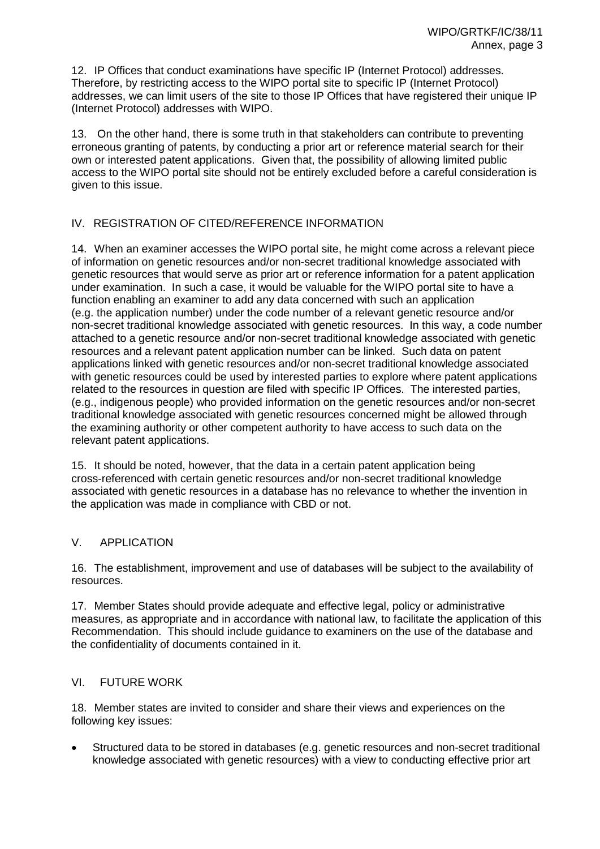12. IP Offices that conduct examinations have specific IP (Internet Protocol) addresses. Therefore, by restricting access to the WIPO portal site to specific IP (Internet Protocol) addresses, we can limit users of the site to those IP Offices that have registered their unique IP (Internet Protocol) addresses with WIPO.

13. On the other hand, there is some truth in that stakeholders can contribute to preventing erroneous granting of patents, by conducting a prior art or reference material search for their own or interested patent applications. Given that, the possibility of allowing limited public access to the WIPO portal site should not be entirely excluded before a careful consideration is given to this issue.

## IV. REGISTRATION OF CITED/REFERENCE INFORMATION

14. When an examiner accesses the WIPO portal site, he might come across a relevant piece of information on genetic resources and/or non-secret traditional knowledge associated with genetic resources that would serve as prior art or reference information for a patent application under examination. In such a case, it would be valuable for the WIPO portal site to have a function enabling an examiner to add any data concerned with such an application (e.g. the application number) under the code number of a relevant genetic resource and/or non-secret traditional knowledge associated with genetic resources. In this way, a code number attached to a genetic resource and/or non-secret traditional knowledge associated with genetic resources and a relevant patent application number can be linked. Such data on patent applications linked with genetic resources and/or non-secret traditional knowledge associated with genetic resources could be used by interested parties to explore where patent applications related to the resources in question are filed with specific IP Offices. The interested parties, (e.g., indigenous people) who provided information on the genetic resources and/or non-secret traditional knowledge associated with genetic resources concerned might be allowed through the examining authority or other competent authority to have access to such data on the relevant patent applications.

15. It should be noted, however, that the data in a certain patent application being cross-referenced with certain genetic resources and/or non-secret traditional knowledge associated with genetic resources in a database has no relevance to whether the invention in the application was made in compliance with CBD or not.

## V. APPLICATION

16. The establishment, improvement and use of databases will be subject to the availability of resources.

17. Member States should provide adequate and effective legal, policy or administrative measures, as appropriate and in accordance with national law, to facilitate the application of this Recommendation. This should include guidance to examiners on the use of the database and the confidentiality of documents contained in it.

### VI. FUTURE WORK

18. Member states are invited to consider and share their views and experiences on the following key issues:

 Structured data to be stored in databases (e.g. genetic resources and non-secret traditional knowledge associated with genetic resources) with a view to conducting effective prior art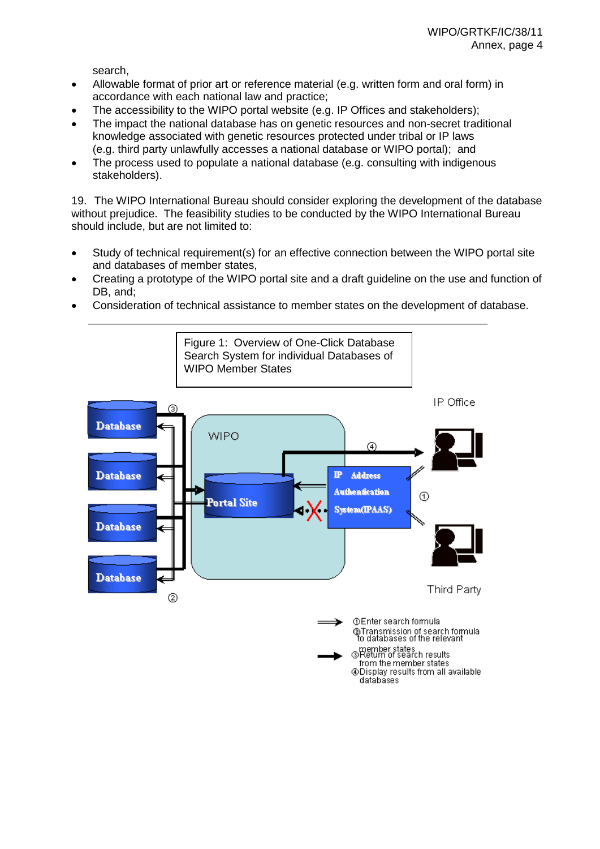search,

- Allowable format of prior art or reference material (e.g. written form and oral form) in accordance with each national law and practice;
- The accessibility to the WIPO portal website (e.g. IP Offices and stakeholders);
- The impact the national database has on genetic resources and non-secret traditional knowledge associated with genetic resources protected under tribal or IP laws (e.g. third party unlawfully accesses a national database or WIPO portal); and
- The process used to populate a national database (e.g. consulting with indigenous stakeholders).

19. The WIPO International Bureau should consider exploring the development of the database without prejudice. The feasibility studies to be conducted by the WIPO International Bureau should include, but are not limited to:

- Study of technical requirement(s) for an effective connection between the WIPO portal site and databases of member states,
- Creating a prototype of the WIPO portal site and a draft guideline on the use and function of DB, and;
- Consideration of technical assistance to member states on the development of database.